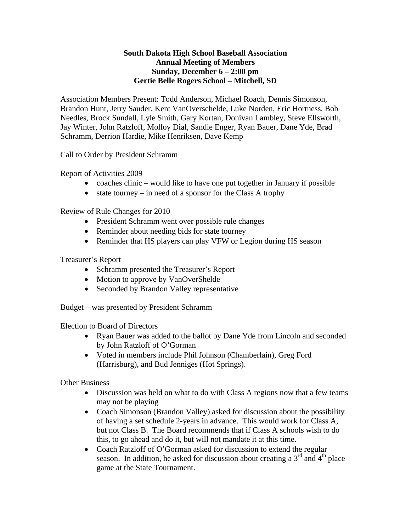## **South Dakota High School Baseball Association Annual Meeting of Members Sunday, December 6 – 2:00 pm Gertie Belle Rogers School – Mitchell, SD**

Association Members Present: Todd Anderson, Michael Roach, Dennis Simonson, Brandon Hunt, Jerry Sauder, Kent VanOverschelde, Luke Norden, Eric Hortness, Bob Needles, Brock Sundall, Lyle Smith, Gary Kortan, Donivan Lambley, Steve Ellsworth, Jay Winter, John Ratzloff, Molloy Dial, Sandie Enger, Ryan Bauer, Dane Yde, Brad Schramm, Derrion Hardie, Mike Henriksen, Dave Kemp

Call to Order by President Schramm

Report of Activities 2009

- coaches clinic would like to have one put together in January if possible
- state tourney in need of a sponsor for the Class A trophy

Review of Rule Changes for 2010

- President Schramm went over possible rule changes
- Reminder about needing bids for state tourney
- Reminder that HS players can play VFW or Legion during HS season

Treasurer's Report

- Schramm presented the Treasurer's Report
- Motion to approve by VanOverShelde
- Seconded by Brandon Valley representative

Budget – was presented by President Schramm

Election to Board of Directors

- Ryan Bauer was added to the ballot by Dane Yde from Lincoln and seconded by John Ratzloff of O'Gorman
- Voted in members include Phil Johnson (Chamberlain), Greg Ford (Harrisburg), and Bud Jenniges (Hot Springs).

Other Business

- Discussion was held on what to do with Class A regions now that a few teams may not be playing
- Coach Simonson (Brandon Valley) asked for discussion about the possibility of having a set schedule 2-years in advance. This would work for Class A, but not Class B. The Board recommends that if Class A schools wish to do this, to go ahead and do it, but will not mandate it at this time.
- Coach Ratzloff of O'Gorman asked for discussion to extend the regular season. In addition, he asked for discussion about creating a  $3<sup>rd</sup>$  and  $4<sup>th</sup>$  place game at the State Tournament.